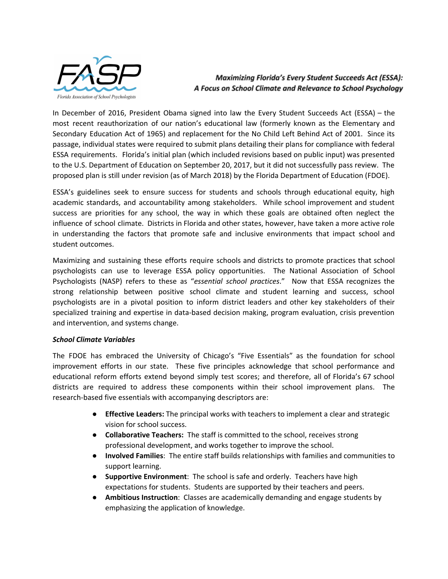

**Maximizing Florida's Every Student Succeeds Act (ESSA):** A Focus on School Climate and Relevance to School Psychology

In December of 2016, President Obama signed into law the Every Student Succeeds Act (ESSA) – the most recent reauthorization of our nation's educational law (formerly known as the Elementary and Secondary Education Act of 1965) and replacement for the No Child Left Behind Act of 2001. Since its passage, individual states were required to submit plans detailing their plans for compliance with federal ESSA requirements. Florida's initial plan (which included revisions based on public input) was presented to the U.S. Department of Education on September 20, 2017, but it did not successfully pass review. The proposed plan is still under revision (as of March 2018) by the Florida Department of Education (FDOE).

ESSA's guidelines seek to ensure success for students and schools through educational equity, high academic standards, and accountability among stakeholders. While school improvement and student success are priorities for any school, the way in which these goals are obtained often neglect the influence of school climate. Districts in Florida and other states, however, have taken a more active role in understanding the factors that promote safe and inclusive environments that impact school and student outcomes.

Maximizing and sustaining these efforts require schools and districts to promote practices that school psychologists can use to leverage ESSA policy opportunities. The National Association of School Psychologists (NASP) refers to these as "*essential school practices*." Now that ESSA recognizes the strong relationship between positive school climate and student learning and success, school psychologists are in a pivotal position to inform district leaders and other key stakeholders of their specialized training and expertise in data-based decision making, program evaluation, crisis prevention and intervention, and systems change.

### *School Climate Variables*

The FDOE has embraced the University of Chicago's "Five Essentials" as the foundation for school improvement efforts in our state. These five principles acknowledge that school performance and educational reform efforts extend beyond simply test scores; and therefore, all of Florida's 67 school districts are required to address these components within their school improvement plans. The research-based five essentials with accompanying descriptors are:

- **● Effective Leaders:** The principal works with teachers to implement a clear and strategic vision for school success.
- **● Collaborative Teachers:** The staff is committed to the school, receives strong professional development, and works together to improve the school.
- **Involved Families**: The entire staff builds relationships with families and communities to support learning.
- **Supportive Environment**: The school is safe and orderly. Teachers have high expectations for students. Students are supported by their teachers and peers.
- **Ambitious Instruction**: Classes are academically demanding and engage students by emphasizing the application of knowledge.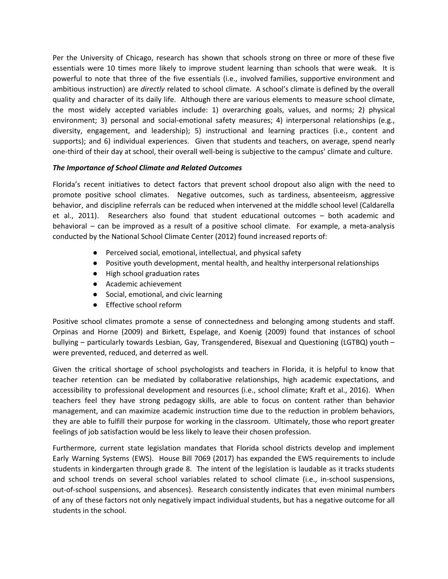Per the University of Chicago, research has shown that schools strong on three or more of these five essentials were 10 times more likely to improve student learning than schools that were weak. It is powerful to note that three of the five essentials (i.e., involved families, supportive environment and ambitious instruction) are *directly* related to school climate. A school's climate is defined by the overall quality and character of its daily life. Although there are various elements to measure school climate, the most widely accepted variables include: 1) overarching goals, values, and norms; 2) physical environment; 3) personal and social-emotional safety measures; 4) interpersonal relationships (e.g., diversity, engagement, and leadership); 5) instructional and learning practices (i.e., content and supports); and 6) individual experiences. Given that students and teachers, on average, spend nearly one-third of their day at school, their overall well-being is subjective to the campus' climate and culture.

## *The Importance of School Climate and Related Outcomes*

Florida's recent initiatives to detect factors that prevent school dropout also align with the need to promote positive school climates. Negative outcomes, such as tardiness, absenteeism, aggressive behavior, and discipline referrals can be reduced when intervened at the middle school level (Caldarella et al., 2011). Researchers also found that student educational outcomes – both academic and behavioral – can be improved as a result of a positive school climate. For example, a meta-analysis conducted by the National School Climate Center (2012) found increased reports of:

- Perceived social, emotional, intellectual, and physical safety
- Positive youth development, mental health, and healthy interpersonal relationships
- High school graduation rates
- Academic achievement
- Social, emotional, and civic learning
- Effective school reform

Positive school climates promote a sense of connectedness and belonging among students and staff. Orpinas and Horne (2009) and Birkett, Espelage, and Koenig (2009) found that instances of school bullying – particularly towards Lesbian, Gay, Transgendered, Bisexual and Questioning (LGTBQ) youth – were prevented, reduced, and deterred as well.

Given the critical shortage of school psychologists and teachers in Florida, it is helpful to know that teacher retention can be mediated by collaborative relationships, high academic expectations, and accessibility to professional development and resources (i.e., school climate; Kraft et al., 2016). When teachers feel they have strong pedagogy skills, are able to focus on content rather than behavior management, and can maximize academic instruction time due to the reduction in problem behaviors, they are able to fulfill their purpose for working in the classroom. Ultimately, those who report greater feelings of job satisfaction would be less likely to leave their chosen profession.

Furthermore, current state legislation mandates that Florida school districts develop and implement Early Warning Systems (EWS). House Bill 7069 (2017) has expanded the EWS requirements to include students in kindergarten through grade 8. The intent of the legislation is laudable as it tracks students and school trends on several school variables related to school climate (i.e., in-school suspensions, out-of-school suspensions, and absences). Research consistently indicates that even minimal numbers of any of these factors not only negatively impact individual students, but has a negative outcome for all students in the school.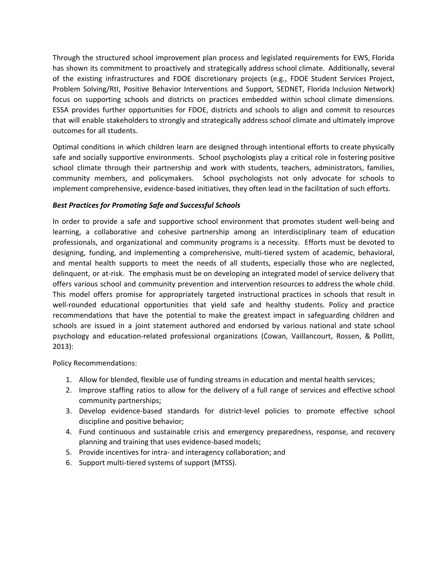Through the structured school improvement plan process and legislated requirements for EWS, Florida has shown its commitment to proactively and strategically address school climate. Additionally, several of the existing infrastructures and FDOE discretionary projects (e.g., FDOE Student Services Project, Problem Solving/RtI, Positive Behavior Interventions and Support, SEDNET, Florida Inclusion Network) focus on supporting schools and districts on practices embedded within school climate dimensions. ESSA provides further opportunities for FDOE, districts and schools to align and commit to resources that will enable stakeholders to strongly and strategically address school climate and ultimately improve outcomes for all students.

Optimal conditions in which children learn are designed through intentional efforts to create physically safe and socially supportive environments. School psychologists play a critical role in fostering positive school climate through their partnership and work with students, teachers, administrators, families, community members, and policymakers. School psychologists not only advocate for schools to implement comprehensive, evidence-based initiatives, they often lead in the facilitation of such efforts.

# *Best Practices for Promoting Safe and Successful Schools*

In order to provide a safe and supportive school environment that promotes student well-being and learning, a collaborative and cohesive partnership among an interdisciplinary team of education professionals, and organizational and community programs is a necessity. Efforts must be devoted to designing, funding, and implementing a comprehensive, multi-tiered system of academic, behavioral, and mental health supports to meet the needs of all students, especially those who are neglected, delinquent, or at-risk. The emphasis must be on developing an integrated model of service delivery that offers various school and community prevention and intervention resources to address the whole child. This model offers promise for appropriately targeted instructional practices in schools that result in well-rounded educational opportunities that yield safe and healthy students. Policy and practice recommendations that have the potential to make the greatest impact in safeguarding children and schools are issued in a joint statement authored and endorsed by various national and state school psychology and education-related professional organizations (Cowan, Vaillancourt, Rossen, & Pollitt, 2013):

Policy Recommendations:

- 1. Allow for blended, flexible use of funding streams in education and mental health services;
- 2. Improve staffing ratios to allow for the delivery of a full range of services and effective school community partnerships;
- 3. Develop evidence-based standards for district-level policies to promote effective school discipline and positive behavior;
- 4. Fund continuous and sustainable crisis and emergency preparedness, response, and recovery planning and training that uses evidence-based models;
- 5. Provide incentives for intra- and interagency collaboration; and
- 6. Support multi-tiered systems of support (MTSS).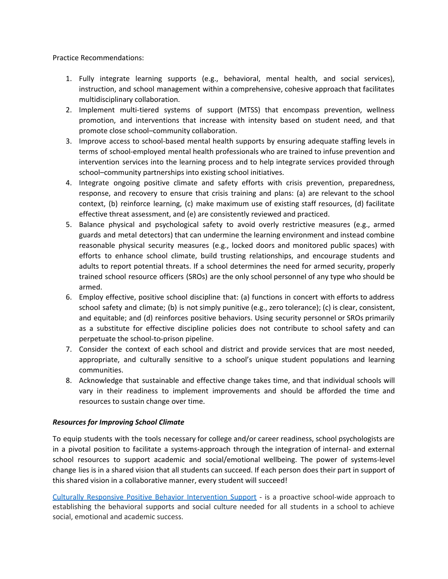Practice Recommendations:

- 1. Fully integrate learning supports (e.g., behavioral, mental health, and social services), instruction, and school management within a comprehensive, cohesive approach that facilitates multidisciplinary collaboration.
- 2. Implement multi-tiered systems of support (MTSS) that encompass prevention, wellness promotion, and interventions that increase with intensity based on student need, and that promote close school–community collaboration.
- 3. Improve access to school-based mental health supports by ensuring adequate staffing levels in terms of school-employed mental health professionals who are trained to infuse prevention and intervention services into the learning process and to help integrate services provided through school–community partnerships into existing school initiatives.
- 4. Integrate ongoing positive climate and safety efforts with crisis prevention, preparedness, response, and recovery to ensure that crisis training and plans: (a) are relevant to the school context, (b) reinforce learning, (c) make maximum use of existing staff resources, (d) facilitate effective threat assessment, and (e) are consistently reviewed and practiced.
- 5. Balance physical and psychological safety to avoid overly restrictive measures (e.g., armed guards and metal detectors) that can undermine the learning environment and instead combine reasonable physical security measures (e.g., locked doors and monitored public spaces) with efforts to enhance school climate, build trusting relationships, and encourage students and adults to report potential threats. If a school determines the need for armed security, properly trained school resource officers (SROs) are the only school personnel of any type who should be armed.
- 6. Employ effective, positive school discipline that: (a) functions in concert with efforts to address school safety and climate; (b) is not simply punitive (e.g., zero tolerance); (c) is clear, consistent, and equitable; and (d) reinforces positive behaviors. Using security personnel or SROs primarily as a substitute for effective discipline policies does not contribute to school safety and can perpetuate the school-to-prison pipeline.
- 7. Consider the context of each school and district and provide services that are most needed, appropriate, and culturally sensitive to a school's unique student populations and learning communities.
- 8. Acknowledge that sustainable and effective change takes time, and that individual schools will vary in their readiness to implement improvements and should be afforded the time and resources to sustain change over time.

### *Resources for Improving School Climate*

To equip students with the tools necessary for college and/or career readiness, school psychologists are in a pivotal position to facilitate a systems-approach through the integration of internal- and external school resources to support academic and social/emotional wellbeing. The power of systems-level change lies is in a shared vision that all students can succeed. If each person does their part in support of this shared vision in a collaborative manner, every student will succeed!

Culturally Responsive Positive Behavior [Intervention](https://www.pbis.org/) Support - is a proactive school-wide approach to establishing the behavioral supports and social culture needed for all students in a school to achieve social, emotional and academic success.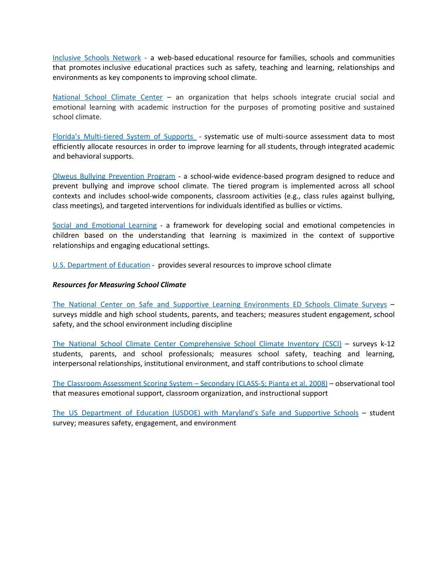[Inclusive](http://inclusiveschools.org/ways-to-improve-school-climate/) Schools Network - a web-based educational resource for families, schools and communities that promotes inclusive educational practices such as safety, teaching and learning, relationships and environments as key components to improving school climate.

[National](http://www.schoolclimate.org/guidelines/schoolclimateimprovement.php) School Climate Center – an organization that helps schools integrate crucial social and emotional learning with academic instruction for the purposes of promoting positive and sustained school climate.

Florida's [Multi-tiered](http://florida-rti.org/index.htm) System of Supports - systematic use of multi-source assessment data to most efficiently allocate resources in order to improve learning for all students, through integrated academic and behavioral supports.

Olweus Bullying [Prevention](http://www.violencepreventionworks.org/public/olweus_bullying_prevention_program.page) Program - a school-wide evidence-based program designed to reduce and prevent bullying and improve school climate. The tiered program is implemented across all school contexts and includes school-wide components, classroom activities (e.g., class rules against bullying, class meetings), and targeted interventions for individuals identified as bullies or victims.

Social and [Emotional](http://www.casel.org/what-is-sel/) Learning - a framework for developing social and emotional competencies in children based on the understanding that learning is maximized in the context of supportive relationships and engaging educational settings.

U.S. [Department](http://www.fldoe.org/schools/safe-healthy-schools/safe-schools/sesir-discipline-data/climate-discipline) of Education - provides several resources to improve school climate

#### *Resources for Measuring School Climate*

The National Center on Safe and Supportive Learning [Environments](https://safesupportivelearning.ed.gov/edscls) ED Schools Climate Surveys – surveys middle and high school students, parents, and teachers; measures student engagement, school safety, and the school environment including discipline

The National School Climate Center [Comprehensive](http://www.schoolclimate.org/climate/practice.php) School Climate Inventory (CSCI) – surveys k-12 students, parents, and school professionals; measures school safety, teaching and learning, interpersonal relationships, institutional environment, and staff contributions to school climate

The Classroom [Assessment](http://curry.virginia.edu/research/centers/castl/class) Scoring System – Secondary (CLASS-S; Pianta et al, 2008) – observational tool that measures emotional support, classroom organization, and instructional support

The US [Department](http://www.mds3online.org/take-the-climate-survey) of Education (USDOE) with Maryland's Safe and Supportive Schools – student survey; measures safety, engagement, and environment